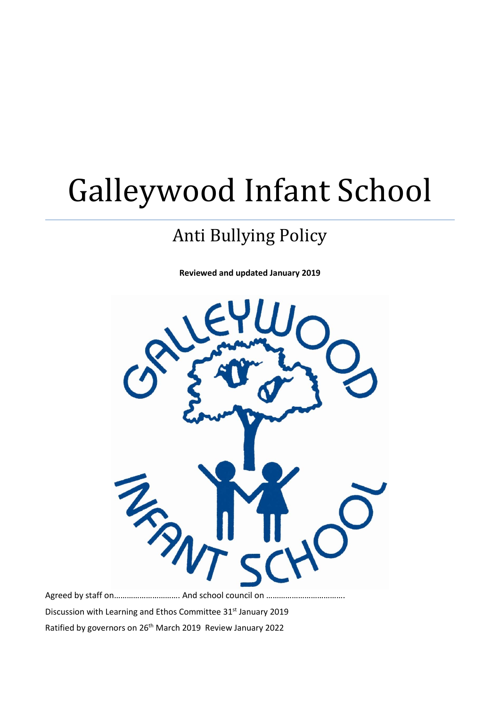# Galleywood Infant School

## Anti Bullying Policy

**Reviewed and updated January 2019**



Agreed by staff on ................................. And school council on .......... Discussion with Learning and Ethos Committee 31st January 2019 Ratified by governors on 26th March 2019 Review January 2022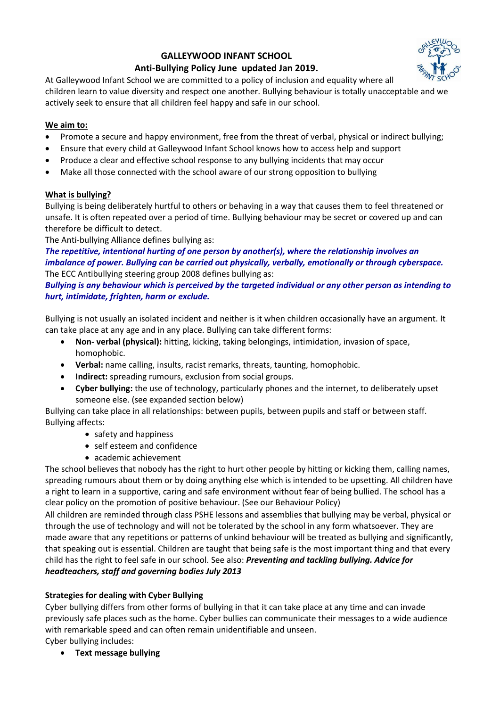### **GALLEYWOOD INFANT SCHOOL**

#### **Anti-Bullying Policy June updated Jan 2019.**

At Galleywood Infant School we are committed to a policy of inclusion and equality where all children learn to value diversity and respect one another. Bullying behaviour is totally unacceptable and we actively seek to ensure that all children feel happy and safe in our school.

#### **We aim to:**

- Promote a secure and happy environment, free from the threat of verbal, physical or indirect bullying;
- Ensure that every child at Galleywood Infant School knows how to access help and support
- Produce a clear and effective school response to any bullying incidents that may occur
- Make all those connected with the school aware of our strong opposition to bullying

#### **What is bullying?**

Bullying is being deliberately hurtful to others or behaving in a way that causes them to feel threatened or unsafe. It is often repeated over a period of time. Bullying behaviour may be secret or covered up and can therefore be difficult to detect.

The Anti-bullying Alliance defines bullying as:

*The repetitive, intentional hurting of one person by another(s), where the relationship involves an imbalance of power. Bullying can be carried out physically, verbally, emotionally or through cyberspace.* The ECC Antibullying steering group 2008 defines bullying as:

*Bullying is any behaviour which is perceived by the targeted individual or any other person as intending to hurt, intimidate, frighten, harm or exclude.*

Bullying is not usually an isolated incident and neither is it when children occasionally have an argument. It can take place at any age and in any place. Bullying can take different forms:

- **Non- verbal (physical):** hitting, kicking, taking belongings, intimidation, invasion of space, homophobic.
- **Verbal:** name calling, insults, racist remarks, threats, taunting, homophobic.
- **Indirect:** spreading rumours, exclusion from social groups.
- **Cyber bullying:** the use of technology, particularly phones and the internet, to deliberately upset someone else. (see expanded section below)

Bullying can take place in all relationships: between pupils, between pupils and staff or between staff. Bullying affects:

- safety and happiness
- self esteem and confidence
- academic achievement

The school believes that nobody has the right to hurt other people by hitting or kicking them, calling names, spreading rumours about them or by doing anything else which is intended to be upsetting. All children have a right to learn in a supportive, caring and safe environment without fear of being bullied. The school has a clear policy on the promotion of positive behaviour. (See our Behaviour Policy)

All children are reminded through class PSHE lessons and assemblies that bullying may be verbal, physical or through the use of technology and will not be tolerated by the school in any form whatsoever. They are made aware that any repetitions or patterns of unkind behaviour will be treated as bullying and significantly, that speaking out is essential. Children are taught that being safe is the most important thing and that every child has the right to feel safe in our school. See also: *Preventing and tackling bullying. Advice for headteachers, staff and governing bodies July 2013* 

#### **Strategies for dealing with Cyber Bullying**

Cyber bullying differs from other forms of bullying in that it can take place at any time and can invade previously safe places such as the home. Cyber bullies can communicate their messages to a wide audience with remarkable speed and can often remain unidentifiable and unseen.

Cyber bullying includes:

• **Text message bullying**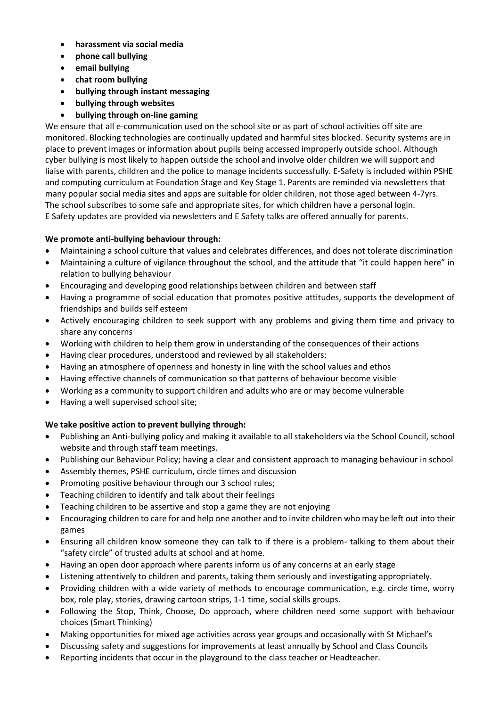- **harassment via social media**
- **phone call bullying**
- **email bullying**
- **chat room bullying**
- **bullying through instant messaging**
- **bullying through websites**
- **bullying through on-line gaming**

We ensure that all e-communication used on the school site or as part of school activities off site are monitored. Blocking technologies are continually updated and harmful sites blocked. Security systems are in place to prevent images or information about pupils being accessed improperly outside school. Although cyber bullying is most likely to happen outside the school and involve older children we will support and liaise with parents, children and the police to manage incidents successfully. E-Safety is included within PSHE and computing curriculum at Foundation Stage and Key Stage 1. Parents are reminded via newsletters that many popular social media sites and apps are suitable for older children, not those aged between 4-7yrs. The school subscribes to some safe and appropriate sites, for which children have a personal login. E Safety updates are provided via newsletters and E Safety talks are offered annually for parents.

#### **We promote anti-bullying behaviour through:**

- Maintaining a school culture that values and celebrates differences, and does not tolerate discrimination
- Maintaining a culture of vigilance throughout the school, and the attitude that "it could happen here" in relation to bullying behaviour
- Encouraging and developing good relationships between children and between staff
- Having a programme of social education that promotes positive attitudes, supports the development of friendships and builds self esteem
- Actively encouraging children to seek support with any problems and giving them time and privacy to share any concerns
- Working with children to help them grow in understanding of the consequences of their actions
- Having clear procedures, understood and reviewed by all stakeholders;
- Having an atmosphere of openness and honesty in line with the school values and ethos
- Having effective channels of communication so that patterns of behaviour become visible
- Working as a community to support children and adults who are or may become vulnerable
- Having a well supervised school site;

#### **We take positive action to prevent bullying through:**

- Publishing an Anti-bullying policy and making it available to all stakeholders via the School Council, school website and through staff team meetings.
- Publishing our Behaviour Policy; having a clear and consistent approach to managing behaviour in school
- Assembly themes, PSHE curriculum, circle times and discussion
- Promoting positive behaviour through our 3 school rules;
- Teaching children to identify and talk about their feelings
- Teaching children to be assertive and stop a game they are not enjoying
- Encouraging children to care for and help one another and to invite children who may be left out into their games
- Ensuring all children know someone they can talk to if there is a problem- talking to them about their "safety circle" of trusted adults at school and at home.
- Having an open door approach where parents inform us of any concerns at an early stage
- Listening attentively to children and parents, taking them seriously and investigating appropriately.
- Providing children with a wide variety of methods to encourage communication, e.g. circle time, worry box, role play, stories, drawing cartoon strips, 1-1 time, social skills groups.
- Following the Stop, Think, Choose, Do approach, where children need some support with behaviour choices (Smart Thinking)
- Making opportunities for mixed age activities across year groups and occasionally with St Michael's
- Discussing safety and suggestions for improvements at least annually by School and Class Councils
- Reporting incidents that occur in the playground to the class teacher or Headteacher.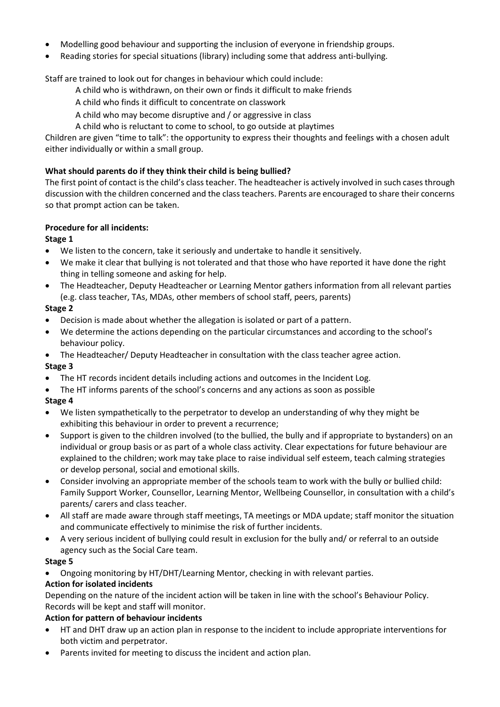- Modelling good behaviour and supporting the inclusion of everyone in friendship groups.
- Reading stories for special situations (library) including some that address anti-bullying.

Staff are trained to look out for changes in behaviour which could include:

- A child who is withdrawn, on their own or finds it difficult to make friends
- A child who finds it difficult to concentrate on classwork
- A child who may become disruptive and / or aggressive in class
- A child who is reluctant to come to school, to go outside at playtimes

Children are given "time to talk": the opportunity to express their thoughts and feelings with a chosen adult either individually or within a small group.

#### **What should parents do if they think their child is being bullied?**

The first point of contact is the child's class teacher. The headteacher is actively involved in such cases through discussion with the children concerned and the class teachers. Parents are encouraged to share their concerns so that prompt action can be taken.

#### **Procedure for all incidents:**

#### **Stage 1**

- We listen to the concern, take it seriously and undertake to handle it sensitively.
- We make it clear that bullying is not tolerated and that those who have reported it have done the right thing in telling someone and asking for help.
- The Headteacher, Deputy Headteacher or Learning Mentor gathers information from all relevant parties (e.g. class teacher, TAs, MDAs, other members of school staff, peers, parents)

#### **Stage 2**

- Decision is made about whether the allegation is isolated or part of a pattern.
- We determine the actions depending on the particular circumstances and according to the school's behaviour policy.
- The Headteacher/ Deputy Headteacher in consultation with the class teacher agree action. **Stage 3**
- The HT records incident details including actions and outcomes in the Incident Log.
- The HT informs parents of the school's concerns and any actions as soon as possible **Stage 4**
- We listen sympathetically to the perpetrator to develop an understanding of why they might be exhibiting this behaviour in order to prevent a recurrence;
- Support is given to the children involved (to the bullied, the bully and if appropriate to bystanders) on an individual or group basis or as part of a whole class activity. Clear expectations for future behaviour are explained to the children; work may take place to raise individual self esteem, teach calming strategies or develop personal, social and emotional skills.
- Consider involving an appropriate member of the schools team to work with the bully or bullied child: Family Support Worker, Counsellor, Learning Mentor, Wellbeing Counsellor, in consultation with a child's parents/ carers and class teacher.
- All staff are made aware through staff meetings, TA meetings or MDA update; staff monitor the situation and communicate effectively to minimise the risk of further incidents.
- A very serious incident of bullying could result in exclusion for the bully and/ or referral to an outside agency such as the Social Care team.

#### **Stage 5**

• Ongoing monitoring by HT/DHT/Learning Mentor, checking in with relevant parties.

#### **Action for isolated incidents**

Depending on the nature of the incident action will be taken in line with the school's Behaviour Policy. Records will be kept and staff will monitor.

#### **Action for pattern of behaviour incidents**

- HT and DHT draw up an action plan in response to the incident to include appropriate interventions for both victim and perpetrator.
- Parents invited for meeting to discuss the incident and action plan.